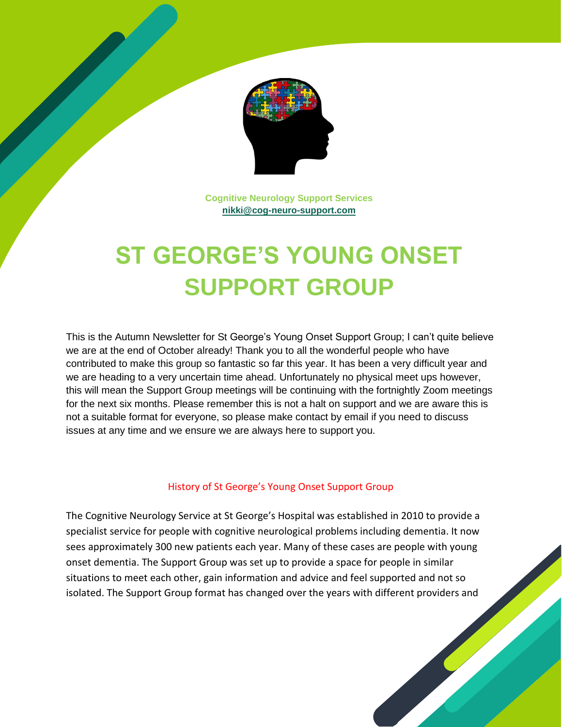

**Cognitive Neurology Support Services [nikki@cog-neuro-support.com](mailto:nikki@cog-neuro-support.com)**

# **ST GEORGE'S YOUNG ONSET SUPPORT GROUP**

This is the Autumn Newsletter for St George's Young Onset Support Group; I can't quite believe we are at the end of October already! Thank you to all the wonderful people who have contributed to make this group so fantastic so far this year. It has been a very difficult year and we are heading to a very uncertain time ahead. Unfortunately no physical meet ups however, this will mean the Support Group meetings will be continuing with the fortnightly Zoom meetings for the next six months. Please remember this is not a halt on support and we are aware this is not a suitable format for everyone, so please make contact by email if you need to discuss issues at any time and we ensure we are always here to support you.

#### History of St George's Young Onset Support Group

The Cognitive Neurology Service at St George's Hospital was established in 2010 to provide a specialist service for people with cognitive neurological problems including dementia. It now sees approximately 300 new patients each year. Many of these cases are people with young onset dementia. The Support Group was set up to provide a space for people in similar situations to meet each other, gain information and advice and feel supported and not so isolated. The Support Group format has changed over the years with different providers and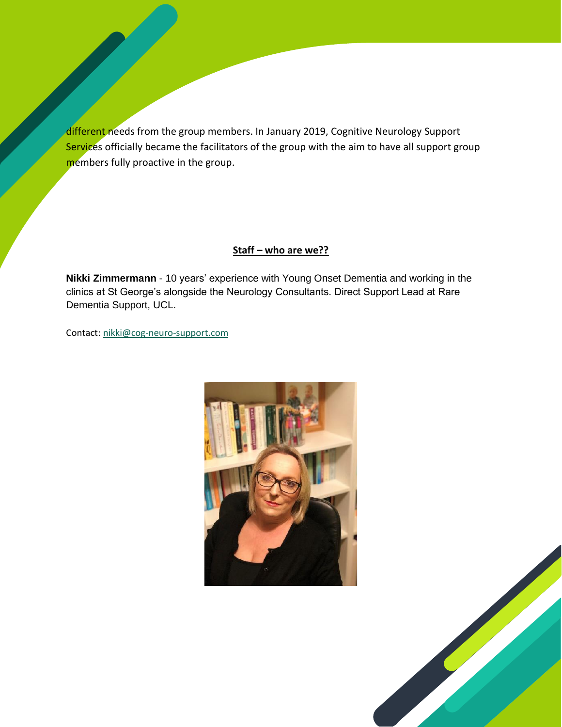different needs from the group members. In January 2019, Cognitive Neurology Support Services officially became the facilitators of the group with the aim to have all support group members fully proactive in the group.

#### **Staff – who are we??**

**Nikki Zimmermann** - 10 years' experience with Young Onset Dementia and working in the clinics at St George's alongside the Neurology Consultants. Direct Support Lead at Rare Dementia Support, UCL.

Contact: [nikki@cog-neuro-support.com](mailto:nikki@cog-neuro-support.com)



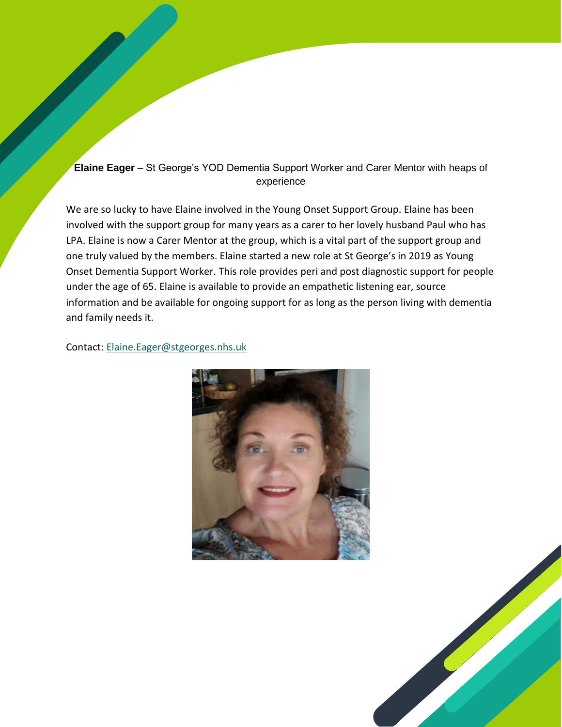## **Elaine Eager** – St George's YOD Dementia Support Worker and Carer Mentor with heaps of experience

We are so lucky to have Elaine involved in the Young Onset Support Group. Elaine has been involved with the support group for many years as a carer to her lovely husband Paul who has LPA. Elaine is now a Carer Mentor at the group, which is a vital part of the support group and one truly valued by the members. Elaine started a new role at St George's in 2019 as Young Onset Dementia Support Worker. This role provides peri and post diagnostic support for people under the age of 65. Elaine is available to provide an empathetic listening ear, source information and be available for ongoing support for as long as the person living with dementia and family needs it.

#### Contact: [Elaine.Eager@stgeorges.nhs.uk](mailto:Elaine.Eager@stgeorges.nhs.uk)



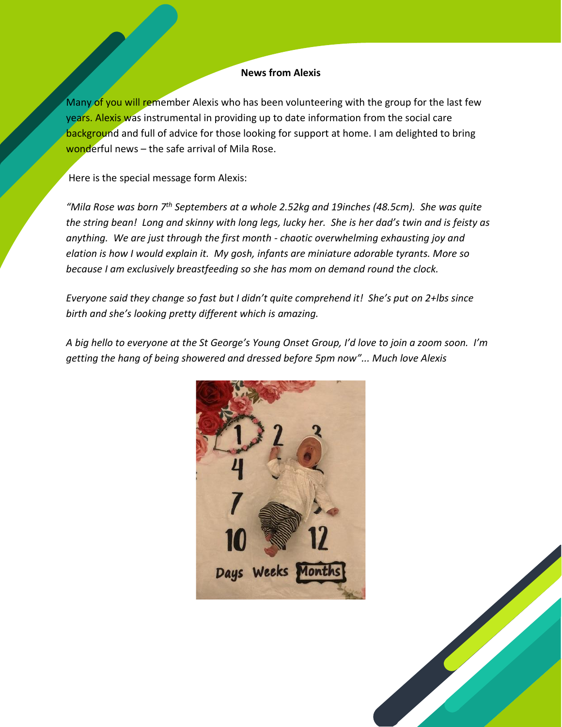#### **News from Alexis**

Many of you will remember Alexis who has been volunteering with the group for the last few years. Alexis was instrumental in providing up to date information from the social care background and full of advice for those looking for support at home. I am delighted to bring wonderful news  $-$  the safe arrival of Mila Rose.

Here is the special message form Alexis:

*"Mila Rose was born 7th Septembers at a whole 2.52kg and 19inches (48.5cm). She was quite the string bean! Long and skinny with long legs, lucky her. She is her dad's twin and is feisty as anything. We are just through the first month - chaotic overwhelming exhausting joy and elation is how I would explain it. My gosh, infants are miniature adorable tyrants. More so because I am exclusively breastfeeding so she has mom on demand round the clock.* 

*Everyone said they change so fast but I didn't quite comprehend it! She's put on 2+lbs since birth and she's looking pretty different which is amazing.* 

*A big hello to everyone at the St George's Young Onset Group, I'd love to join a zoom soon. I'm getting the hang of being showered and dressed before 5pm now"... Much love Alexis*



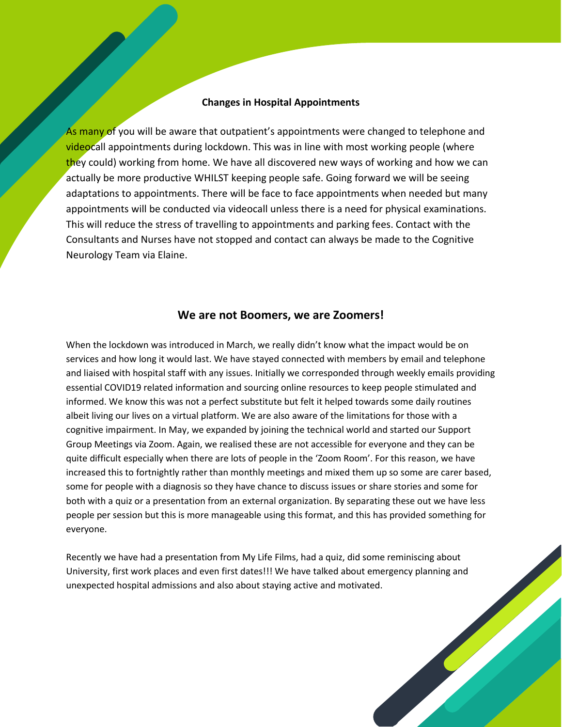#### **Changes in Hospital Appointments**

As many of you will be aware that outpatient's appointments were changed to telephone and videocall appointments during lockdown. This was in line with most working people (where they could) working from home. We have all discovered new ways of working and how we can actually be more productive WHILST keeping people safe. Going forward we will be seeing adaptations to appointments. There will be face to face appointments when needed but many appointments will be conducted via videocall unless there is a need for physical examinations. This will reduce the stress of travelling to appointments and parking fees. Contact with the Consultants and Nurses have not stopped and contact can always be made to the Cognitive Neurology Team via Elaine.

#### **We are not Boomers, we are Zoomers!**

When the lockdown was introduced in March, we really didn't know what the impact would be on services and how long it would last. We have stayed connected with members by email and telephone and liaised with hospital staff with any issues. Initially we corresponded through weekly emails providing essential COVID19 related information and sourcing online resources to keep people stimulated and informed. We know this was not a perfect substitute but felt it helped towards some daily routines albeit living our lives on a virtual platform. We are also aware of the limitations for those with a cognitive impairment. In May, we expanded by joining the technical world and started our Support Group Meetings via Zoom. Again, we realised these are not accessible for everyone and they can be quite difficult especially when there are lots of people in the 'Zoom Room'. For this reason, we have increased this to fortnightly rather than monthly meetings and mixed them up so some are carer based, some for people with a diagnosis so they have chance to discuss issues or share stories and some for both with a quiz or a presentation from an external organization. By separating these out we have less people per session but this is more manageable using this format, and this has provided something for everyone.

Recently we have had a presentation from My Life Films, had a quiz, did some reminiscing about University, first work places and even first dates!!! We have talked about emergency planning and unexpected hospital admissions and also about staying active and motivated.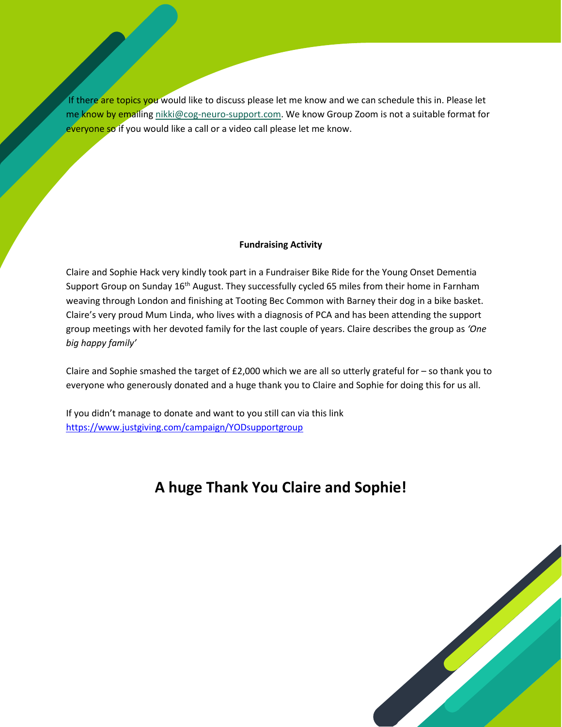If there are topics you would like to discuss please let me know and we can schedule this in. Please let me know by emailin[g nikki@cog-neuro-support.com.](mailto:nikki@cog-neuro-support.com) We know Group Zoom is not a suitable format for everyone so if you would like a call or a video call please let me know.

#### **Fundraising Activity**

Claire and Sophie Hack very kindly took part in a Fundraiser Bike Ride for the Young Onset Dementia Support Group on Sunday 16<sup>th</sup> August. They successfully cycled 65 miles from their home in Farnham weaving through London and finishing at Tooting Bec Common with Barney their dog in a bike basket. Claire's very proud Mum Linda, who lives with a diagnosis of PCA and has been attending the support group meetings with her devoted family for the last couple of years. Claire describes the group as *'One big happy family'*

Claire and Sophie smashed the target of  $£2,000$  which we are all so utterly grateful for  $-$  so thank you to everyone who generously donated and a huge thank you to Claire and Sophie for doing this for us all.

If you didn't manage to donate and want to you still can via this link <https://www.justgiving.com/campaign/YODsupportgroup>

# **A huge Thank You Claire and Sophie!**

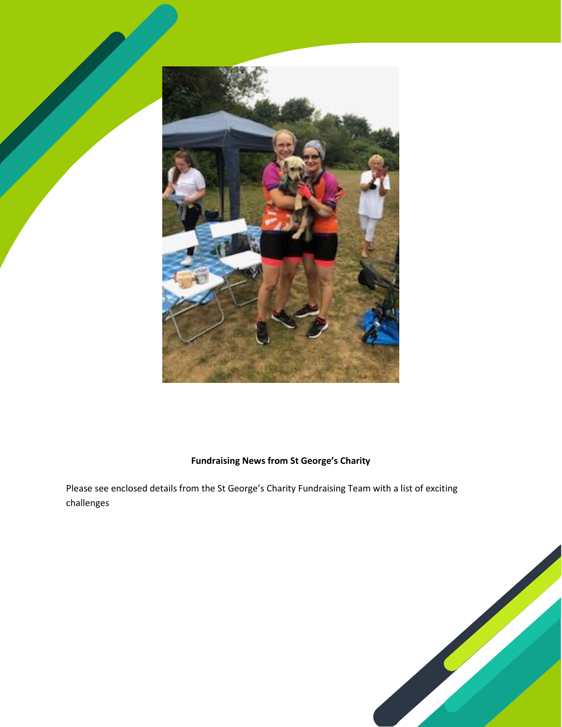

## **Fundraising News from St George's Charity**

Please see enclosed details from the St George's Charity Fundraising Team with a list of exciting challenges

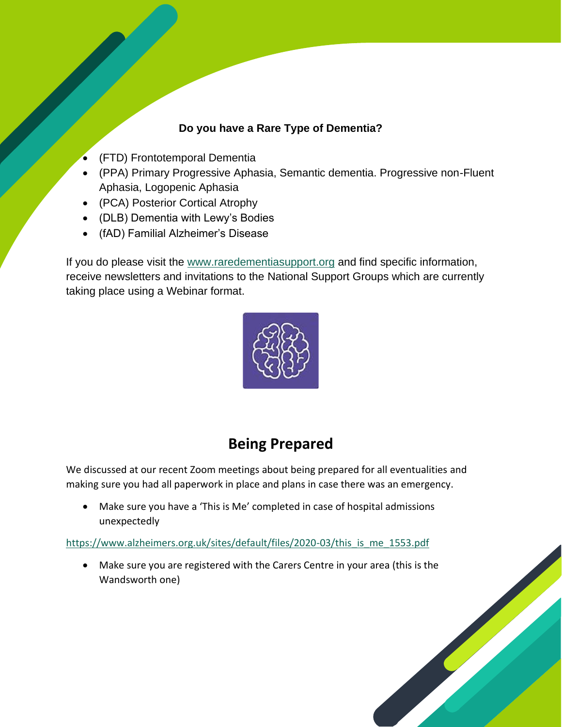# **Do you have a Rare Type of Dementia?**

- (FTD) Frontotemporal Dementia
- (PPA) Primary Progressive Aphasia, Semantic dementia. Progressive non-Fluent Aphasia, Logopenic Aphasia
- (PCA) Posterior Cortical Atrophy
- (DLB) Dementia with Lewy's Bodies
- (fAD) Familial Alzheimer's Disease

If you do please visit the [www.raredementiasupport.org](http://www.raredementiasupport.org/) and find specific information, receive newsletters and invitations to the National Support Groups which are currently taking place using a Webinar format.



# **Being Prepared**

We discussed at our recent Zoom meetings about being prepared for all eventualities and making sure you had all paperwork in place and plans in case there was an emergency.

• Make sure you have a 'This is Me' completed in case of hospital admissions unexpectedly

[https://www.alzheimers.org.uk/sites/default/files/2020-03/this\\_is\\_me\\_1553.pdf](https://www.alzheimers.org.uk/sites/default/files/2020-03/this_is_me_1553.pdf)

• Make sure you are registered with the Carers Centre in your area (this is the Wandsworth one)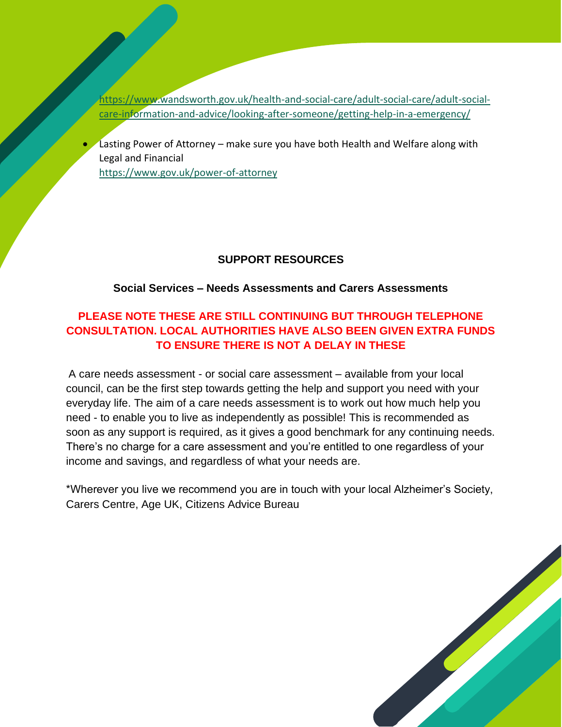[https://www.wandsworth.gov.uk/health-and-social-care/adult-social-care/adult-social](https://www.wandsworth.gov.uk/health-and-social-care/adult-social-care/adult-social-care-information-and-advice/looking-after-someone/getting-help-in-a-emergency/)[care-information-and-advice/looking-after-someone/getting-help-in-a-emergency/](https://www.wandsworth.gov.uk/health-and-social-care/adult-social-care/adult-social-care-information-and-advice/looking-after-someone/getting-help-in-a-emergency/)

Lasting Power of Attorney – make sure you have both Health and Welfare along with Legal and Financial

<https://www.gov.uk/power-of-attorney>

## **SUPPORT RESOURCES**

#### **Social Services – Needs Assessments and Carers Assessments**

# **PLEASE NOTE THESE ARE STILL CONTINUING BUT THROUGH TELEPHONE CONSULTATION. LOCAL AUTHORITIES HAVE ALSO BEEN GIVEN EXTRA FUNDS TO ENSURE THERE IS NOT A DELAY IN THESE**

A care needs assessment - or social care assessment – available from your local council, can be the first step towards getting the help and support you need with your everyday life. The aim of a care needs assessment is to work out how much help you need - to enable you to live as independently as possible! This is recommended as soon as any support is required, as it gives a good benchmark for any continuing needs. There's no charge for a care assessment and you're entitled to one regardless of your income and savings, and regardless of what your needs are.

\*Wherever you live we recommend you are in touch with your local Alzheimer's Society, Carers Centre, Age UK, Citizens Advice Bureau

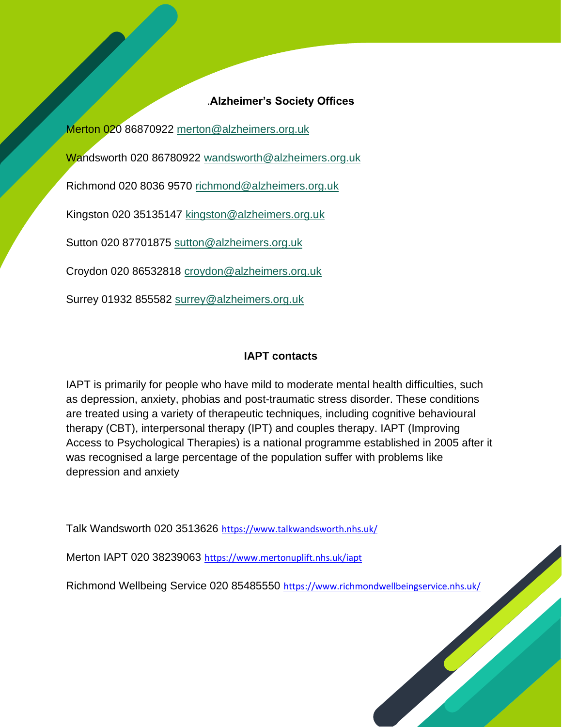## .**Alzheimer's Society Offices**

Merton 020 86870922 [merton@alzheimers.org.uk](mailto:merton@alzheimers.org.uk)

Wandsworth 020 86780922 [wandsworth@alzheimers.org.uk](mailto:wandsworth@alzheimers.org.uk)

Richmond 020 8036 9570 [richmond@alzheimers.org.uk](mailto:richmond@alzheimers.org.uk)

Kingston 020 35135147 [kingston@alzheimers.org.uk](mailto:kingston@alzheimers.org.uk)

Sutton 020 87701875 [sutton@alzheimers.org.uk](mailto:sutton@alzheimers.org.uk)

Croydon 020 86532818 [croydon@alzheimers.org.uk](mailto:croydon@alzheimers.org.uk)

Surrey 01932 855582 [surrey@alzheimers.org.uk](mailto:surrey@alzheimers.org.uk)

## **IAPT contacts**

IAPT is primarily for people who have mild to moderate mental health difficulties, such as depression, anxiety, phobias and post-traumatic stress disorder. These conditions are treated using a variety of therapeutic techniques, including cognitive behavioural therapy (CBT), interpersonal therapy (IPT) and couples therapy. IAPT (Improving Access to Psychological Therapies) is a national programme established in 2005 after it was recognised a large percentage of the population suffer with problems like depression and anxiety

Talk Wandsworth 020 3513626 <https://www.talkwandsworth.nhs.uk/>

Merton IAPT 020 38239063 <https://www.mertonuplift.nhs.uk/iapt>

Richmond Wellbeing Service 020 85485550 <https://www.richmondwellbeingservice.nhs.uk/>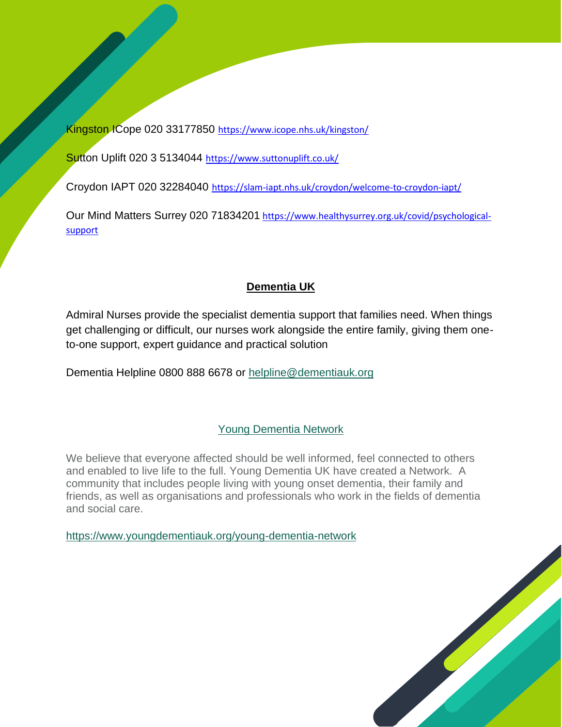Kingston ICope 020 33177850 <https://www.icope.nhs.uk/kingston/>

Sutton Uplift 020 3 5134044 <https://www.suttonuplift.co.uk/>

Croydon IAPT 020 32284040 <https://slam-iapt.nhs.uk/croydon/welcome-to-croydon-iapt/>

Our Mind Matters Surrey 020 71834201 [https://www.healthysurrey.org.uk/covid/psychological](https://www.healthysurrey.org.uk/covid/psychological-support)[support](https://www.healthysurrey.org.uk/covid/psychological-support)

# **Dementia UK**

Admiral Nurses provide the specialist dementia support that families need. When things get challenging or difficult, our nurses work alongside the entire family, giving them oneto-one support, expert guidance and practical solution

Dementia Helpline 0800 888 6678 or [helpline@dementiauk.org](mailto:helpline@dementiauk.orgs)

# Young Dementia Network

We believe that everyone affected should be well informed, feel connected to others and enabled to live life to the full. Young Dementia UK have created a Network. A community that includes people living with young onset dementia, their family and friends, as well as organisations and professionals who work in the fields of dementia and social care.

<https://www.youngdementiauk.org/young-dementia-network>

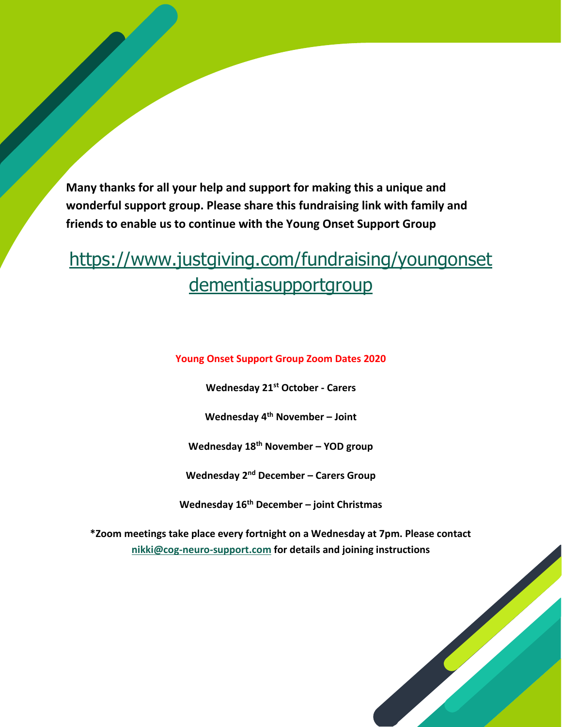**Many thanks for all your help and support for making this a unique and wonderful support group. Please share this fundraising link with family and friends to enable us to continue with the Young Onset Support Group** 

# [https://www.justgiving.com/fundraising/youngonset](https://www.justgiving.com/fundraising/youngonsetdementiasupportgroup) [dementiasupportgroup](https://www.justgiving.com/fundraising/youngonsetdementiasupportgroup)

**Young Onset Support Group Zoom Dates 2020**

**Wednesday 21st October - Carers**

**Wednesday 4 th November – Joint**

**Wednesday 18th November – YOD group**

**Wednesday 2nd December – Carers Group**

**Wednesday 16th December – joint Christmas**

**\*Zoom meetings take place every fortnight on a Wednesday at 7pm. Please contact [nikki@cog-neuro-support.com](mailto:nikki@cog-neuro-support.com) for details and joining instructions**